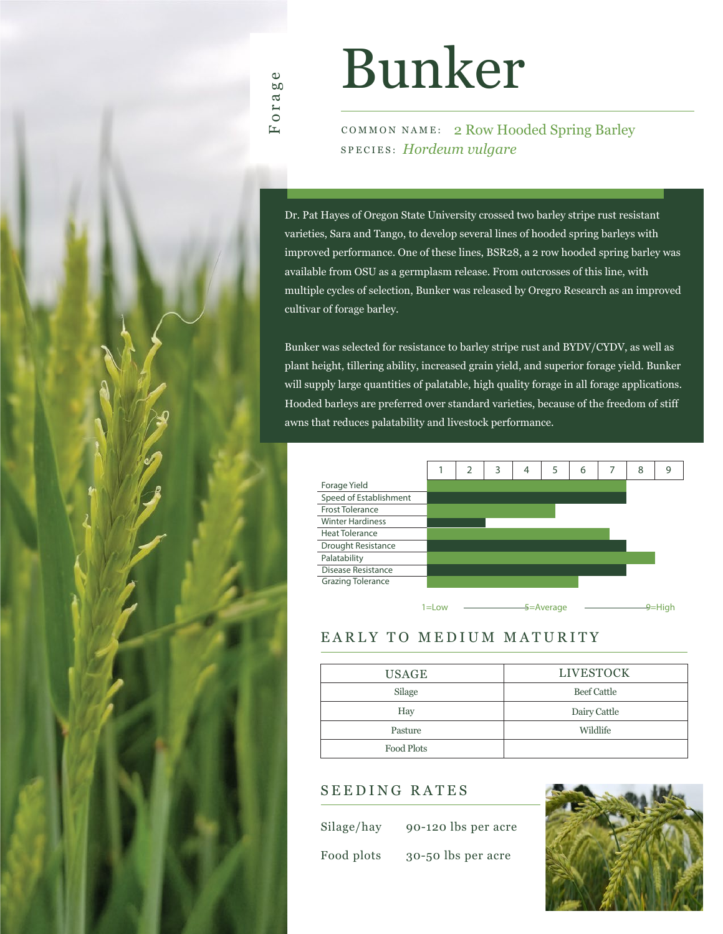# Bunker

COMMON NAME: 2 Row Hooded Spring Barley SPECIES: *Hordeum vulgare*

Dr. Pat Hayes of Oregon State University crossed two barley stripe rust resistant varieties, Sara and Tango, to develop several lines of hooded spring barleys with improved performance. One of these lines, BSR28, a 2 row hooded spring barley was available from OSU as a germplasm release. From outcrosses of this line, with multiple cycles of selection, Bunker was released by Oregro Research as an improved cultivar of forage barley.

Bunker was selected for resistance to barley stripe rust and BYDV/CYDV, as well as plant height, tillering ability, increased grain yield, and superior forage yield. Bunker will supply large quantities of palatable, high quality forage in all forage applications. Hooded barleys are preferred over standard varieties, because of the freedom of stiff awns that reduces palatability and livestock performance.



### EARLY TO MEDIUM MATURITY

| <b>USAGE</b> | <b>LIVESTOCK</b>   |
|--------------|--------------------|
| Silage       | <b>Beef Cattle</b> |
| Hay          | Dairy Cattle       |
| Pasture      | Wildlife           |
| Food Plots   |                    |

#### SEEDING RATES

Silage/hay 90-120 lbs per acre

Food plots 30-50 lbs per acre